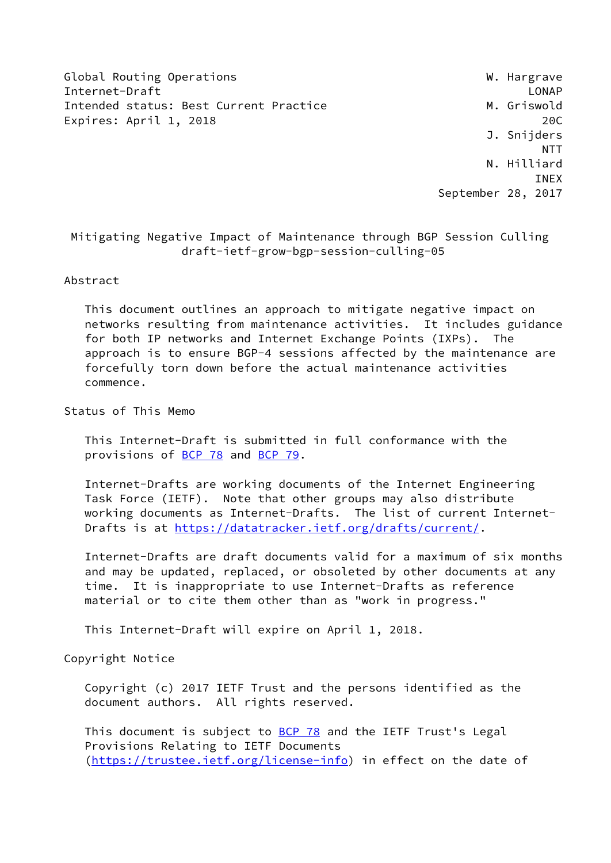Global Routing Operations **W. Hargrave** Internet-Draft LONAP Intended status: Best Current Practice Manuel M. Griswold Expires: April 1, 2018 200

 J. Snijders NTT N. Hilliard INEX September 28, 2017

 Mitigating Negative Impact of Maintenance through BGP Session Culling draft-ietf-grow-bgp-session-culling-05

Abstract

 This document outlines an approach to mitigate negative impact on networks resulting from maintenance activities. It includes guidance for both IP networks and Internet Exchange Points (IXPs). The approach is to ensure BGP-4 sessions affected by the maintenance are forcefully torn down before the actual maintenance activities commence.

Status of This Memo

 This Internet-Draft is submitted in full conformance with the provisions of [BCP 78](https://datatracker.ietf.org/doc/pdf/bcp78) and [BCP 79](https://datatracker.ietf.org/doc/pdf/bcp79).

 Internet-Drafts are working documents of the Internet Engineering Task Force (IETF). Note that other groups may also distribute working documents as Internet-Drafts. The list of current Internet- Drafts is at<https://datatracker.ietf.org/drafts/current/>.

 Internet-Drafts are draft documents valid for a maximum of six months and may be updated, replaced, or obsoleted by other documents at any time. It is inappropriate to use Internet-Drafts as reference material or to cite them other than as "work in progress."

This Internet-Draft will expire on April 1, 2018.

Copyright Notice

 Copyright (c) 2017 IETF Trust and the persons identified as the document authors. All rights reserved.

This document is subject to **[BCP 78](https://datatracker.ietf.org/doc/pdf/bcp78)** and the IETF Trust's Legal Provisions Relating to IETF Documents [\(https://trustee.ietf.org/license-info](https://trustee.ietf.org/license-info)) in effect on the date of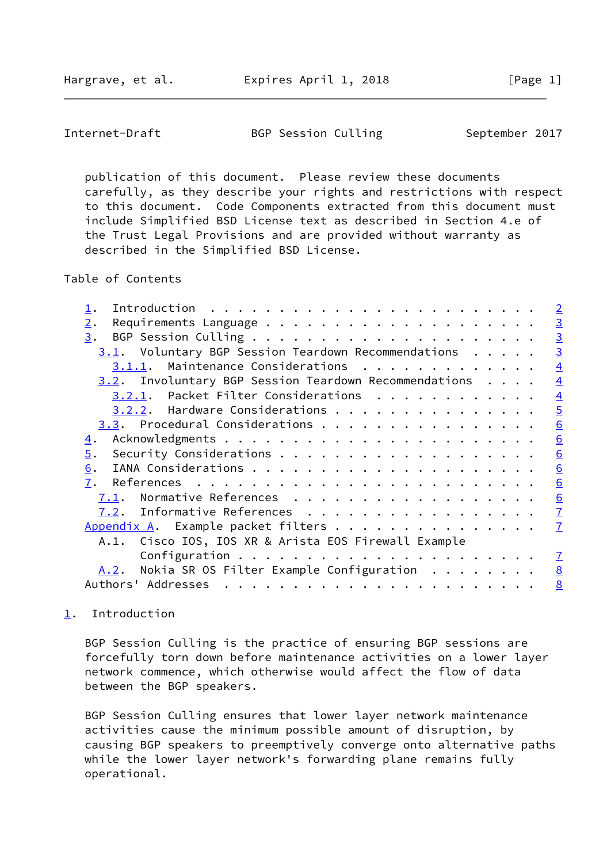<span id="page-1-1"></span>Internet-Draft BGP Session Culling September 2017

 publication of this document. Please review these documents carefully, as they describe your rights and restrictions with respect to this document. Code Components extracted from this document must include Simplified BSD License text as described in Section 4.e of the Trust Legal Provisions and are provided without warranty as described in the Simplified BSD License.

Table of Contents

|                                                          | $\overline{2}$ |
|----------------------------------------------------------|----------------|
| 2.                                                       | $\overline{3}$ |
| 3.                                                       | $\overline{3}$ |
| $3.1$ . Voluntary BGP Session Teardown Recommendations   | $\overline{3}$ |
| 3.1.1. Maintenance Considerations                        | $\overline{4}$ |
| $3.2$ . Involuntary BGP Session Teardown Recommendations | $\overline{4}$ |
| 3.2.1. Packet Filter Considerations                      | $\overline{4}$ |
| 3.2.2. Hardware Considerations                           | $\overline{5}$ |
|                                                          | 6              |
| 4.                                                       | 6              |
| $\overline{5}$ .                                         | 6              |
| 6.                                                       | 6              |
| 7.                                                       | 6              |
| Normative References<br>7.1.                             | 6              |
| 7.2. Informative References                              | $\overline{1}$ |
| Appendix A. Example packet filters                       | $\mathbf{Z}$   |
| A.1. Cisco IOS, IOS XR & Arista EOS Firewall Example     |                |
|                                                          | $\mathbf I$    |
| Nokia SR OS Filter Example Configuration $\dots$<br>A.2. | 8              |
| Authors' Addresses                                       | 8              |
|                                                          |                |

## <span id="page-1-0"></span>[1](#page-1-0). Introduction

 BGP Session Culling is the practice of ensuring BGP sessions are forcefully torn down before maintenance activities on a lower layer network commence, which otherwise would affect the flow of data between the BGP speakers.

 BGP Session Culling ensures that lower layer network maintenance activities cause the minimum possible amount of disruption, by causing BGP speakers to preemptively converge onto alternative paths while the lower layer network's forwarding plane remains fully operational.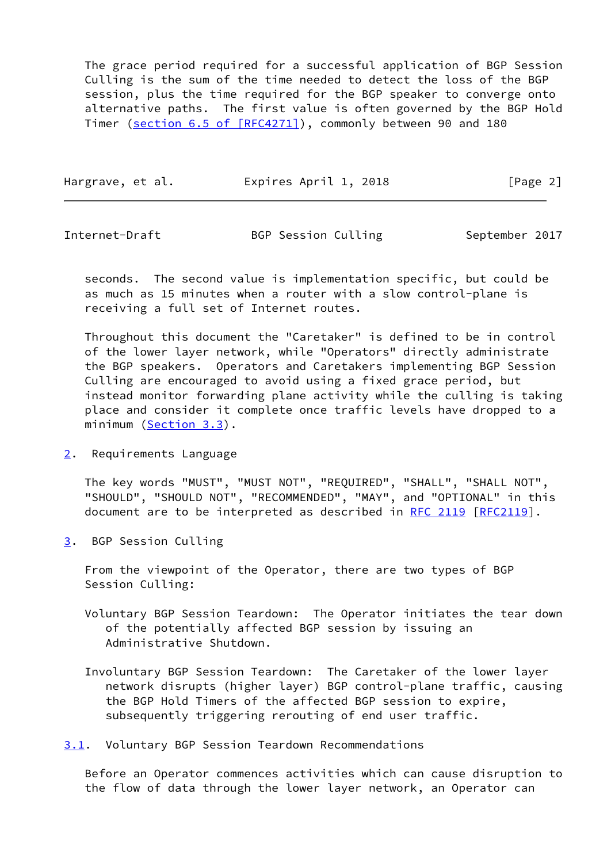The grace period required for a successful application of BGP Session Culling is the sum of the time needed to detect the loss of the BGP session, plus the time required for the BGP speaker to converge onto alternative paths. The first value is often governed by the BGP Hold Timer (section [6.5 of \[RFC4271\]\)](https://datatracker.ietf.org/doc/pdf/rfc4271#section-6.5), commonly between 90 and 180

| Hargrave, et al. | Expires April 1, 2018 | [Page 2] |
|------------------|-----------------------|----------|
|                  |                       |          |

<span id="page-2-1"></span>Internet-Draft 6GP Session Culling 5GP September 2017

 seconds. The second value is implementation specific, but could be as much as 15 minutes when a router with a slow control-plane is receiving a full set of Internet routes.

 Throughout this document the "Caretaker" is defined to be in control of the lower layer network, while "Operators" directly administrate the BGP speakers. Operators and Caretakers implementing BGP Session Culling are encouraged to avoid using a fixed grace period, but instead monitor forwarding plane activity while the culling is taking place and consider it complete once traffic levels have dropped to a minimum [\(Section 3.3](#page-5-0)).

<span id="page-2-0"></span>[2](#page-2-0). Requirements Language

 The key words "MUST", "MUST NOT", "REQUIRED", "SHALL", "SHALL NOT", "SHOULD", "SHOULD NOT", "RECOMMENDED", "MAY", and "OPTIONAL" in this document are to be interpreted as described in [RFC 2119 \[RFC2119](https://datatracker.ietf.org/doc/pdf/rfc2119)].

<span id="page-2-2"></span>[3](#page-2-2). BGP Session Culling

 From the viewpoint of the Operator, there are two types of BGP Session Culling:

- Voluntary BGP Session Teardown: The Operator initiates the tear down of the potentially affected BGP session by issuing an Administrative Shutdown.
- Involuntary BGP Session Teardown: The Caretaker of the lower layer network disrupts (higher layer) BGP control-plane traffic, causing the BGP Hold Timers of the affected BGP session to expire, subsequently triggering rerouting of end user traffic.
- <span id="page-2-3"></span>[3.1](#page-2-3). Voluntary BGP Session Teardown Recommendations

 Before an Operator commences activities which can cause disruption to the flow of data through the lower layer network, an Operator can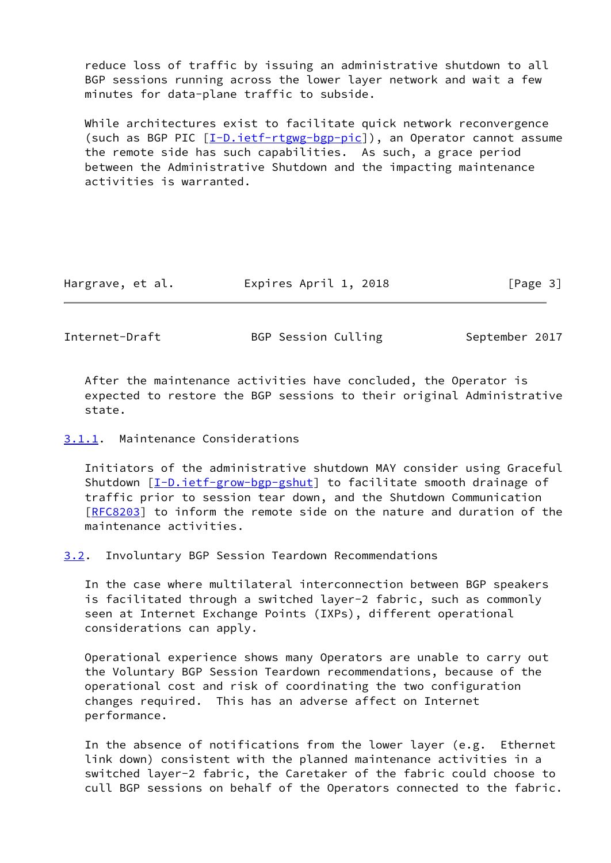reduce loss of traffic by issuing an administrative shutdown to all BGP sessions running across the lower layer network and wait a few minutes for data-plane traffic to subside.

 While architectures exist to facilitate quick network reconvergence (such as BGP PIC  $[\underline{I-D.iett-rtgwg-bgp-pic}]$ ), an Operator cannot assume the remote side has such capabilities. As such, a grace period between the Administrative Shutdown and the impacting maintenance activities is warranted.

| Hargrave, et al. | Expires April 1, 2018 | [Page 3] |
|------------------|-----------------------|----------|
|------------------|-----------------------|----------|

<span id="page-3-1"></span>Internet-Draft BGP Session Culling September 2017

 After the maintenance activities have concluded, the Operator is expected to restore the BGP sessions to their original Administrative state.

## <span id="page-3-0"></span>[3.1.1](#page-3-0). Maintenance Considerations

 Initiators of the administrative shutdown MAY consider using Graceful Shutdown [\[I-D.ietf-grow-bgp-gshut](#page-6-8)] to facilitate smooth drainage of traffic prior to session tear down, and the Shutdown Communication [\[RFC8203](https://datatracker.ietf.org/doc/pdf/rfc8203)] to inform the remote side on the nature and duration of the maintenance activities.

<span id="page-3-2"></span>[3.2](#page-3-2). Involuntary BGP Session Teardown Recommendations

 In the case where multilateral interconnection between BGP speakers is facilitated through a switched layer-2 fabric, such as commonly seen at Internet Exchange Points (IXPs), different operational considerations can apply.

 Operational experience shows many Operators are unable to carry out the Voluntary BGP Session Teardown recommendations, because of the operational cost and risk of coordinating the two configuration changes required. This has an adverse affect on Internet performance.

 In the absence of notifications from the lower layer (e.g. Ethernet link down) consistent with the planned maintenance activities in a switched layer-2 fabric, the Caretaker of the fabric could choose to cull BGP sessions on behalf of the Operators connected to the fabric.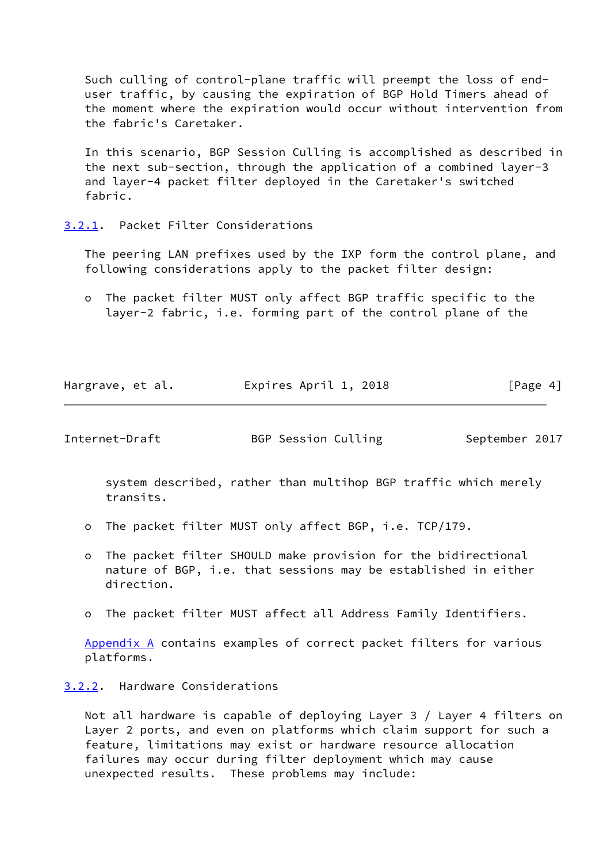Such culling of control-plane traffic will preempt the loss of end user traffic, by causing the expiration of BGP Hold Timers ahead of the moment where the expiration would occur without intervention from the fabric's Caretaker.

 In this scenario, BGP Session Culling is accomplished as described in the next sub-section, through the application of a combined layer-3 and layer-4 packet filter deployed in the Caretaker's switched fabric.

<span id="page-4-0"></span>[3.2.1](#page-4-0). Packet Filter Considerations

 The peering LAN prefixes used by the IXP form the control plane, and following considerations apply to the packet filter design:

 o The packet filter MUST only affect BGP traffic specific to the layer-2 fabric, i.e. forming part of the control plane of the

| Hargrave, et al. | Expires April 1, 2018 | [Page 4] |
|------------------|-----------------------|----------|
|                  |                       |          |

<span id="page-4-2"></span>Internet-Draft BGP Session Culling September 2017

 system described, rather than multihop BGP traffic which merely transits.

- o The packet filter MUST only affect BGP, i.e. TCP/179.
- o The packet filter SHOULD make provision for the bidirectional nature of BGP, i.e. that sessions may be established in either direction.
- o The packet filter MUST affect all Address Family Identifiers.

[Appendix A](#page-7-0) contains examples of correct packet filters for various platforms.

<span id="page-4-1"></span>[3.2.2](#page-4-1). Hardware Considerations

 Not all hardware is capable of deploying Layer 3 / Layer 4 filters on Layer 2 ports, and even on platforms which claim support for such a feature, limitations may exist or hardware resource allocation failures may occur during filter deployment which may cause unexpected results. These problems may include: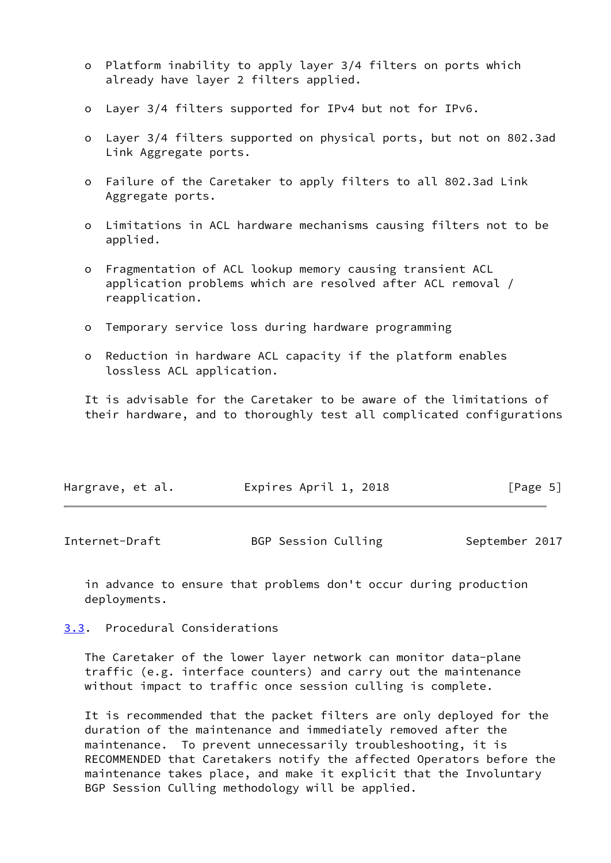- o Platform inability to apply layer 3/4 filters on ports which already have layer 2 filters applied.
- o Layer 3/4 filters supported for IPv4 but not for IPv6.
- o Layer 3/4 filters supported on physical ports, but not on 802.3ad Link Aggregate ports.
- o Failure of the Caretaker to apply filters to all 802.3ad Link Aggregate ports.
- o Limitations in ACL hardware mechanisms causing filters not to be applied.
- o Fragmentation of ACL lookup memory causing transient ACL application problems which are resolved after ACL removal / reapplication.
- o Temporary service loss during hardware programming
- o Reduction in hardware ACL capacity if the platform enables lossless ACL application.

 It is advisable for the Caretaker to be aware of the limitations of their hardware, and to thoroughly test all complicated configurations

| Hargrave, et al. | Expires April 1, 2018 | [Page 5] |
|------------------|-----------------------|----------|
|------------------|-----------------------|----------|

<span id="page-5-1"></span>

| Internet-Draft | BGP Session Culling | September 2017 |
|----------------|---------------------|----------------|
|----------------|---------------------|----------------|

 in advance to ensure that problems don't occur during production deployments.

<span id="page-5-0"></span>[3.3](#page-5-0). Procedural Considerations

 The Caretaker of the lower layer network can monitor data-plane traffic (e.g. interface counters) and carry out the maintenance without impact to traffic once session culling is complete.

 It is recommended that the packet filters are only deployed for the duration of the maintenance and immediately removed after the maintenance. To prevent unnecessarily troubleshooting, it is RECOMMENDED that Caretakers notify the affected Operators before the maintenance takes place, and make it explicit that the Involuntary BGP Session Culling methodology will be applied.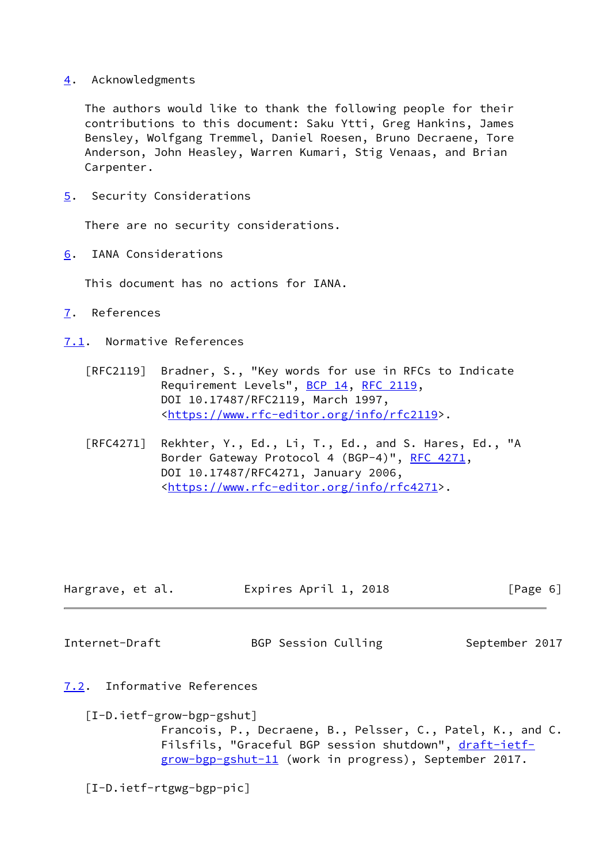<span id="page-6-0"></span>[4](#page-6-0). Acknowledgments

 The authors would like to thank the following people for their contributions to this document: Saku Ytti, Greg Hankins, James Bensley, Wolfgang Tremmel, Daniel Roesen, Bruno Decraene, Tore Anderson, John Heasley, Warren Kumari, Stig Venaas, and Brian Carpenter.

<span id="page-6-1"></span>[5](#page-6-1). Security Considerations

There are no security considerations.

<span id="page-6-2"></span>[6](#page-6-2). IANA Considerations

This document has no actions for IANA.

- <span id="page-6-3"></span>[7](#page-6-3). References
- <span id="page-6-4"></span>[7.1](#page-6-4). Normative References
	- [RFC2119] Bradner, S., "Key words for use in RFCs to Indicate Requirement Levels", [BCP 14](https://datatracker.ietf.org/doc/pdf/bcp14), [RFC 2119](https://datatracker.ietf.org/doc/pdf/rfc2119), DOI 10.17487/RFC2119, March 1997, <[https://www.rfc-editor.org/info/rfc2119>](https://www.rfc-editor.org/info/rfc2119).
	- [RFC4271] Rekhter, Y., Ed., Li, T., Ed., and S. Hares, Ed., "A Border Gateway Protocol 4 (BGP-4)", [RFC 4271,](https://datatracker.ietf.org/doc/pdf/rfc4271) DOI 10.17487/RFC4271, January 2006, <[https://www.rfc-editor.org/info/rfc4271>](https://www.rfc-editor.org/info/rfc4271).

| Hargrave, et al. | Expires April 1, 2018 | [Page 6] |
|------------------|-----------------------|----------|
|                  |                       |          |

<span id="page-6-6"></span>

Internet-Draft BGP Session Culling September 2017

- <span id="page-6-8"></span><span id="page-6-5"></span>[7.2](#page-6-5). Informative References
	- [I-D.ietf-grow-bgp-gshut]

 Francois, P., Decraene, B., Pelsser, C., Patel, K., and C. Filsfils, "Graceful BGP session shutdown", [draft-ietf](https://datatracker.ietf.org/doc/pdf/draft-ietf-grow-bgp-gshut-11) [grow-bgp-gshut-11](https://datatracker.ietf.org/doc/pdf/draft-ietf-grow-bgp-gshut-11) (work in progress), September 2017.

<span id="page-6-7"></span>[I-D.ietf-rtgwg-bgp-pic]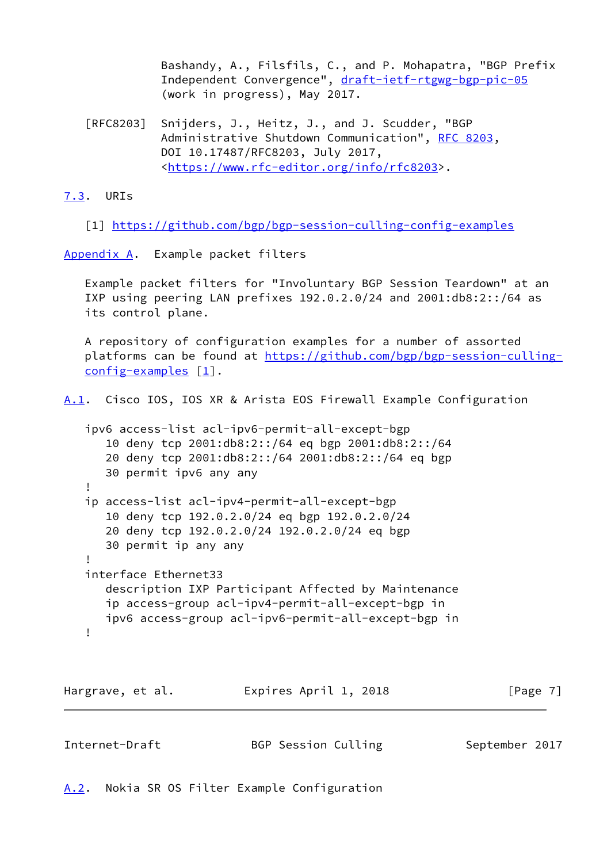Bashandy, A., Filsfils, C., and P. Mohapatra, "BGP Prefix Independent Convergence", [draft-ietf-rtgwg-bgp-pic-05](https://datatracker.ietf.org/doc/pdf/draft-ietf-rtgwg-bgp-pic-05) (work in progress), May 2017.

 [RFC8203] Snijders, J., Heitz, J., and J. Scudder, "BGP Administrative Shutdown Communication", [RFC 8203,](https://datatracker.ietf.org/doc/pdf/rfc8203) DOI 10.17487/RFC8203, July 2017, <[https://www.rfc-editor.org/info/rfc8203>](https://www.rfc-editor.org/info/rfc8203).

<span id="page-7-3"></span>[7.3](#page-7-3). URIs

<span id="page-7-4"></span>[1] <https://github.com/bgp/bgp-session-culling-config-examples>

<span id="page-7-0"></span>[Appendix A.](#page-7-0) Example packet filters

 Example packet filters for "Involuntary BGP Session Teardown" at an IXP using peering LAN prefixes 192.0.2.0/24 and 2001:db8:2::/64 as its control plane.

 A repository of configuration examples for a number of assorted platforms can be found at [https://github.com/bgp/bgp-session-culling](https://github.com/bgp/bgp-session-culling-config-examples) [config-examples](https://github.com/bgp/bgp-session-culling-config-examples)  $[1]$  $[1]$ .

<span id="page-7-5"></span>[A.1](#page-7-5). Cisco IOS, IOS XR & Arista EOS Firewall Example Configuration

```
 ipv6 access-list acl-ipv6-permit-all-except-bgp
       10 deny tcp 2001:db8:2::/64 eq bgp 2001:db8:2::/64
       20 deny tcp 2001:db8:2::/64 2001:db8:2::/64 eq bgp
      30 permit ipv6 any any
 !
   ip access-list acl-ipv4-permit-all-except-bgp
       10 deny tcp 192.0.2.0/24 eq bgp 192.0.2.0/24
       20 deny tcp 192.0.2.0/24 192.0.2.0/24 eq bgp
       30 permit ip any any
    !
   interface Ethernet33
       description IXP Participant Affected by Maintenance
       ip access-group acl-ipv4-permit-all-except-bgp in
      ipv6 access-group acl-ipv6-permit-all-except-bgp in
    !
```
Hargrave, et al. **Expires April 1, 2018** [Page 7]

<span id="page-7-2"></span>

| Internet-Draft | BGP Session Culling | September 2017 |  |
|----------------|---------------------|----------------|--|
|                |                     |                |  |

<span id="page-7-1"></span>[A.2](#page-7-1). Nokia SR OS Filter Example Configuration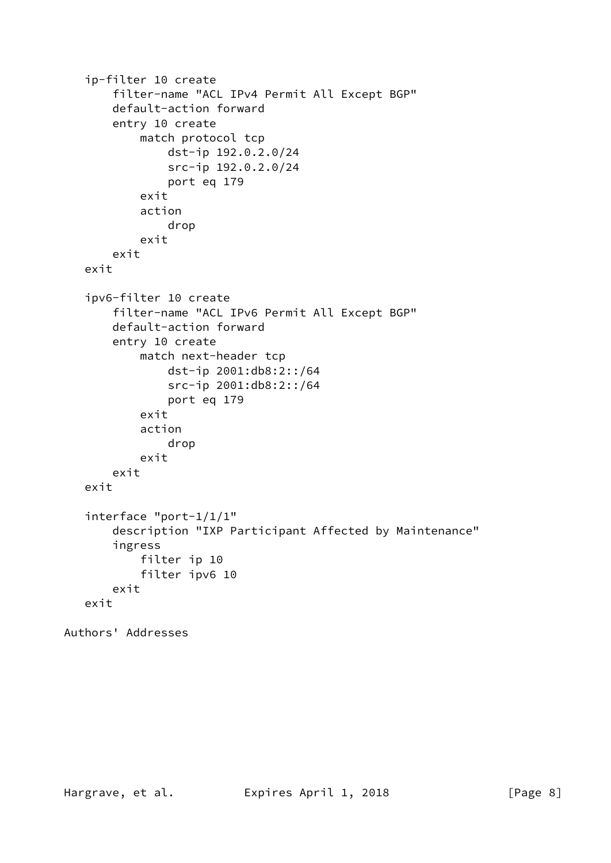```
 ip-filter 10 create
        filter-name "ACL IPv4 Permit All Except BGP"
        default-action forward
        entry 10 create
            match protocol tcp
                 dst-ip 192.0.2.0/24
                 src-ip 192.0.2.0/24
                 port eq 179
             exit
             action
                 drop
             exit
        exit
    exit
    ipv6-filter 10 create
        filter-name "ACL IPv6 Permit All Except BGP"
        default-action forward
        entry 10 create
            match next-header tcp
                 dst-ip 2001:db8:2::/64
                 src-ip 2001:db8:2::/64
                 port eq 179
            exit
             action
                 drop
             exit
        exit
    exit
    interface "port-1/1/1"
        description "IXP Participant Affected by Maintenance"
        ingress
             filter ip 10
             filter ipv6 10
        exit
    exit
Authors' Addresses
```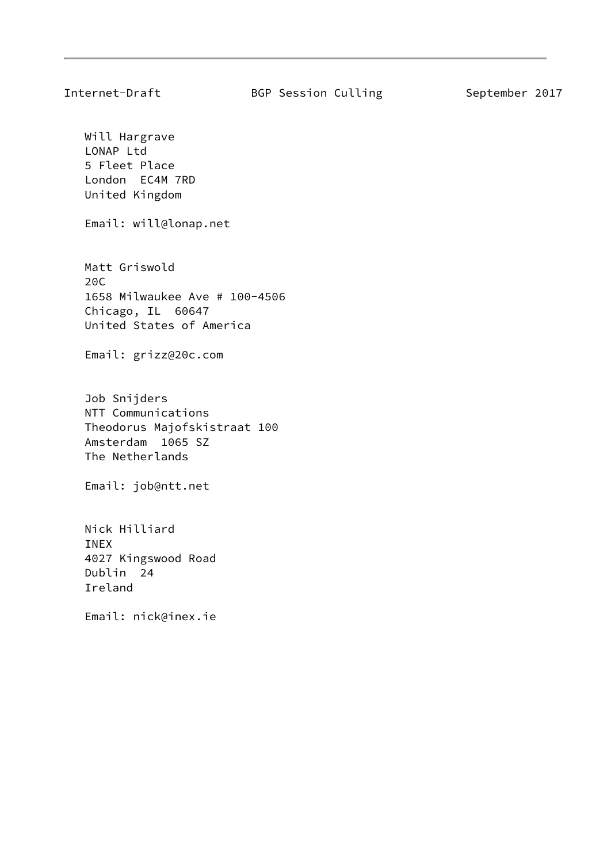Will Hargrave LONAP Ltd 5 Fleet Place London EC4M 7RD United Kingdom

Email: will@lonap.net

 Matt Griswold 20C 1658 Milwaukee Ave # 100-4506 Chicago, IL 60647 United States of America

Email: grizz@20c.com

 Job Snijders NTT Communications Theodorus Majofskistraat 100 Amsterdam 1065 SZ The Netherlands

Email: job@ntt.net

 Nick Hilliard INEX 4027 Kingswood Road Dublin 24 Ireland

Email: nick@inex.ie